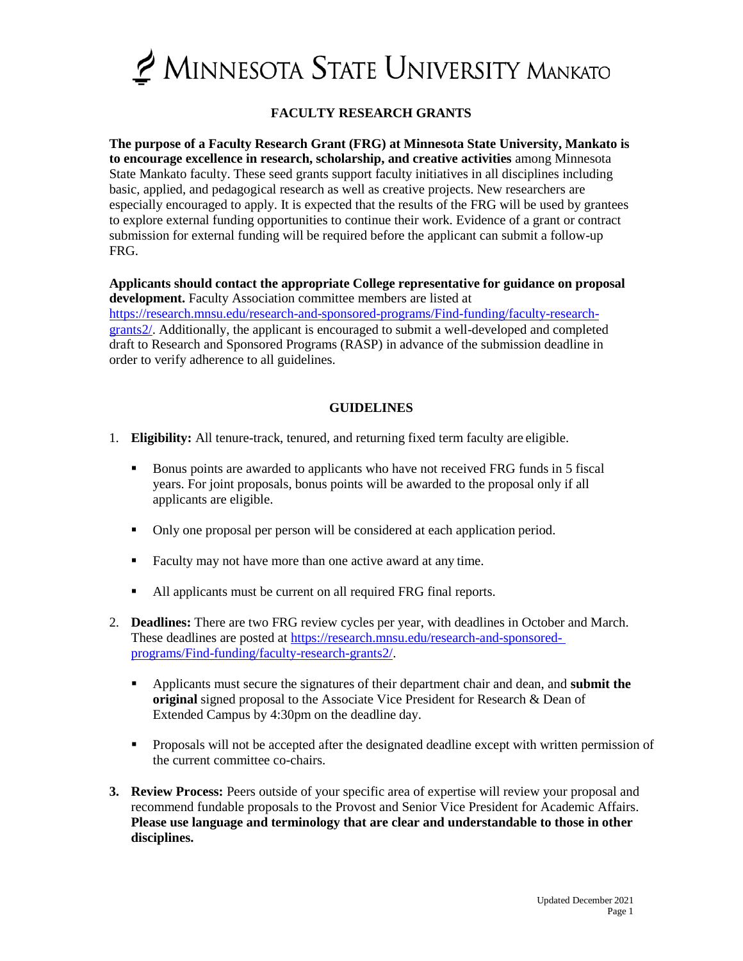

# **FACULTY RESEARCH GRANTS**

**The purpose of a Faculty Research Grant (FRG) at Minnesota State University, Mankato is to encourage excellence in research, scholarship, and creative activities** among Minnesota State Mankato faculty. These seed grants support faculty initiatives in all disciplines including basic, applied, and pedagogical research as well as creative projects. New researchers are especially encouraged to apply. It is expected that the results of the FRG will be used by grantees to explore external funding opportunities to continue their work. Evidence of a grant or contract submission for external funding will be required before the applicant can submit a follow-up FRG.

**Applicants should contact the appropriate College representative for guidance on proposal development.** Faculty Association committee members are listed at

[https://research.mnsu.edu/research-and-sponsored-programs/Find-funding/faculty-research](https://research.mnsu.edu/research-and-sponsored-programs/Find-funding/faculty-research-grants2/)[grants2/.](https://research.mnsu.edu/research-and-sponsored-programs/Find-funding/faculty-research-grants2/) Additionally, the applicant is encouraged to submit a well-developed and completed draft to Research and Sponsored Programs (RASP) in advance of the submission deadline in order to verify adherence to all guidelines.

## **GUIDELINES**

- 1. **Eligibility:** All tenure-track, tenured, and returning fixed term faculty are eligible.
	- Bonus points are awarded to applicants who have not received FRG funds in 5 fiscal years. For joint proposals, bonus points will be awarded to the proposal only if all applicants are eligible.
	- Only one proposal per person will be considered at each application period.
	- Faculty may not have more than one active award at any time.
	- All applicants must be current on all required FRG final reports.
- 2. **Deadlines:** There are two FRG review cycles per year, with deadlines in October and March. These deadlines are posted at [https://research.mnsu.edu/research-and-sponsored](https://research.mnsu.edu/research-and-sponsored-programs/Find-funding/faculty-research-grants2/)[programs/Find-funding/faculty-research-grants2/.](https://research.mnsu.edu/research-and-sponsored-programs/Find-funding/faculty-research-grants2/)
	- Applicants must secure the signatures of their department chair and dean, and **submit the original** signed proposal to the Associate Vice President for Research & Dean of Extended Campus by 4:30pm on the deadline day.
	- **Proposals will not be accepted after the designated deadline except with written permission of** the current committee co-chairs.
- **3. Review Process:** Peers outside of your specific area of expertise will review your proposal and recommend fundable proposals to the Provost and Senior Vice President for Academic Affairs. **Please use language and terminology that are clear and understandable to those in other disciplines.**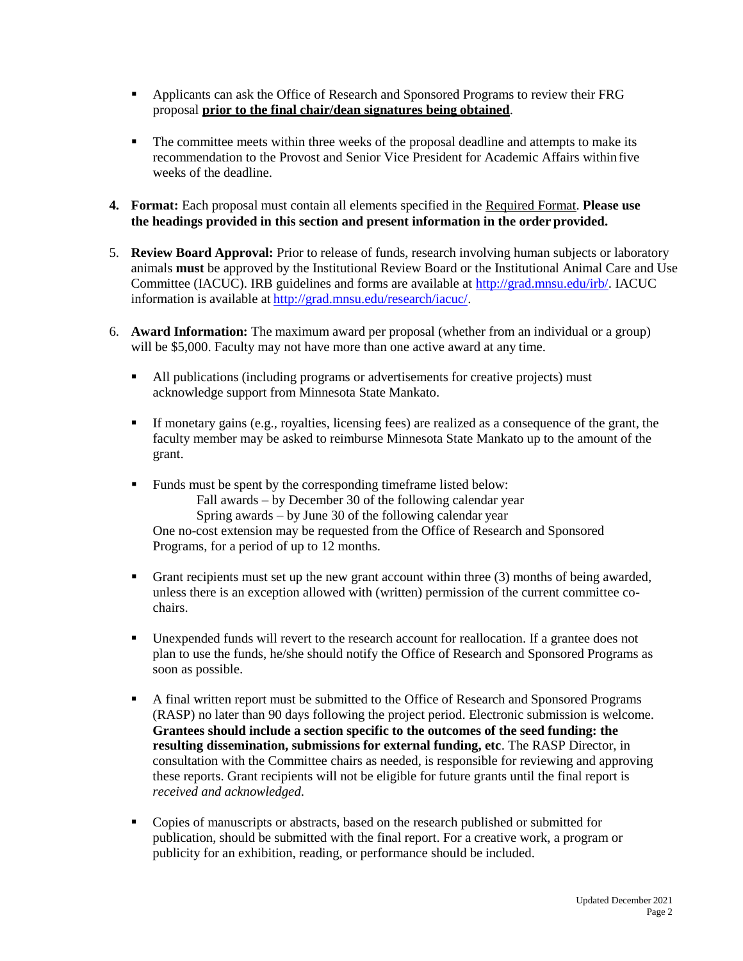- Applicants can ask the Office of Research and Sponsored Programs to review their FRG proposal **prior to the final chair/dean signatures being obtained**.
- The committee meets within three weeks of the proposal deadline and attempts to make its recommendation to the Provost and Senior Vice President for Academic Affairs within five weeks of the deadline.
- **4. Format:** Each proposal must contain all elements specified in the Required Format. **Please use the headings provided in this section and present information in the order provided.**
- 5. **Review Board Approval:** Prior to release of funds, research involving human subjects or laboratory animals **must** be approved by the Institutional Review Board or the Institutional Animal Care and Use Committee (IACUC). IRB guidelines and forms are available at [http://grad.mnsu.edu/irb/. I](http://grad.mnsu.edu/irb/)ACUC information is available at [http://grad.mnsu.edu/research/iacuc/.](http://grad.mnsu.edu/research/iacuc/)
- 6. **Award Information:** The maximum award per proposal (whether from an individual or a group) will be \$5,000. Faculty may not have more than one active award at any time.
	- All publications (including programs or advertisements for creative projects) must acknowledge support from Minnesota State Mankato.
	- If monetary gains (e.g., royalties, licensing fees) are realized as a consequence of the grant, the faculty member may be asked to reimburse Minnesota State Mankato up to the amount of the grant.
	- Funds must be spent by the corresponding timeframe listed below: Fall awards – by December 30 of the following calendar year Spring awards – by June 30 of the following calendar year One no-cost extension may be requested from the Office of Research and Sponsored Programs, for a period of up to 12 months.
	- Grant recipients must set up the new grant account within three (3) months of being awarded, unless there is an exception allowed with (written) permission of the current committee cochairs.
	- Unexpended funds will revert to the research account for reallocation. If a grantee does not plan to use the funds, he/she should notify the Office of Research and Sponsored Programs as soon as possible.
	- A final written report must be submitted to the Office of Research and Sponsored Programs (RASP) no later than 90 days following the project period. Electronic submission is welcome. **Grantees should include a section specific to the outcomes of the seed funding: the resulting dissemination, submissions for external funding, etc**. The RASP Director, in consultation with the Committee chairs as needed, is responsible for reviewing and approving these reports. Grant recipients will not be eligible for future grants until the final report is *received and acknowledged*.
	- Copies of manuscripts or abstracts, based on the research published or submitted for publication, should be submitted with the final report. For a creative work, a program or publicity for an exhibition, reading, or performance should be included.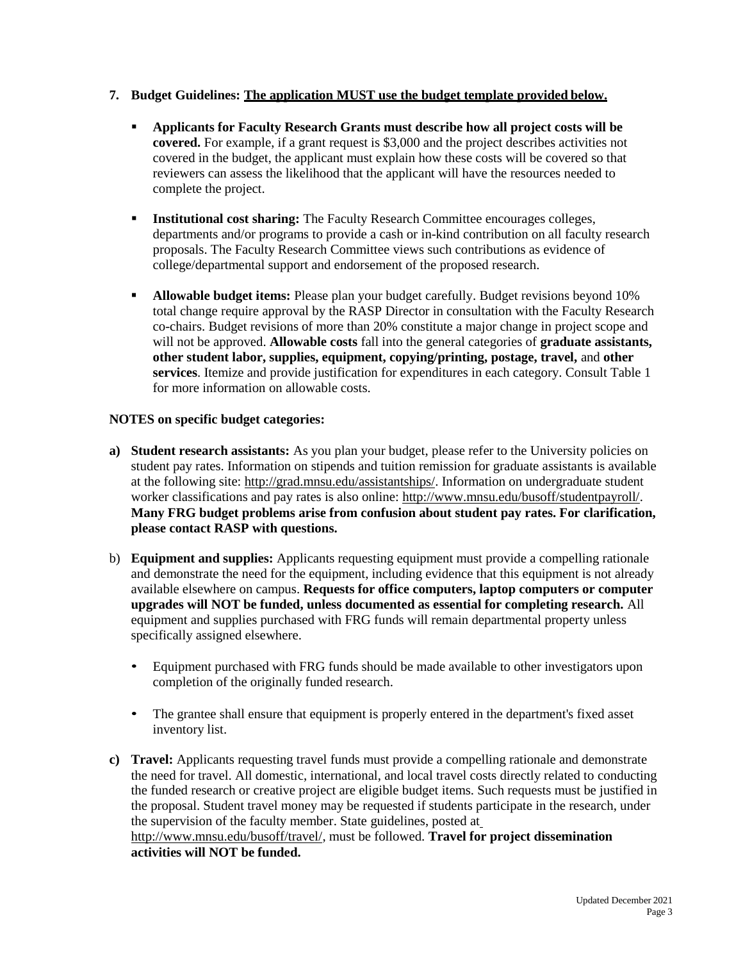## **7. Budget Guidelines: The application MUST use the budget template provided below.**

- **Applicants for Faculty Research Grants must describe how all project costs will be covered.** For example, if a grant request is \$3,000 and the project describes activities not covered in the budget, the applicant must explain how these costs will be covered so that reviewers can assess the likelihood that the applicant will have the resources needed to complete the project.
- **Institutional cost sharing:** The Faculty Research Committee encourages colleges, departments and/or programs to provide a cash or in-kind contribution on all faculty research proposals. The Faculty Research Committee views such contributions as evidence of college/departmental support and endorsement of the proposed research.
- **Allowable budget items:** Please plan your budget carefully. Budget revisions beyond 10% total change require approval by the RASP Director in consultation with the Faculty Research co-chairs. Budget revisions of more than 20% constitute a major change in project scope and will not be approved. **Allowable costs** fall into the general categories of **graduate assistants, other student labor, supplies, equipment, copying/printing, postage, travel,** and **other services**. Itemize and provide justification for expenditures in each category. Consult Table 1 for more information on allowable costs.

## **NOTES on specific budget categories:**

- **a) Student research assistants:** As you plan your budget, please refer to the University policies on student pay rates. Information on stipends and tuition remission for graduate assistants is available at the following site: [http://grad.mnsu.edu/assistantships/. I](http://grad.mnsu.edu/assistantships/)nformation on undergraduate student worker classifications and pay rates is also online: [http://www.mnsu.edu/busoff/studentpayroll/.](http://www.mnsu.edu/busoff/studentpayroll/) **Many FRG budget problems arise from confusion about student pay rates. For clarification, please contact RASP with questions.**
- b) **Equipment and supplies:** Applicants requesting equipment must provide a compelling rationale and demonstrate the need for the equipment, including evidence that this equipment is not already available elsewhere on campus. **Requests for office computers, laptop computers or computer upgrades will NOT be funded, unless documented as essential for completing research.** All equipment and supplies purchased with FRG funds will remain departmental property unless specifically assigned elsewhere.
	- Equipment purchased with FRG funds should be made available to other investigators upon completion of the originally funded research.
	- The grantee shall ensure that equipment is properly entered in the department's fixed asset inventory list.
- **c) Travel:** Applicants requesting travel funds must provide a compelling rationale and demonstrate the need for travel. All domestic, international, and local travel costs directly related to conducting the funded research or creative project are eligible budget items. Such requests must be justified in the proposal. Student travel money may be requested if students participate in the research, under the supervision of the faculty member. State guidelines, posted at [http://www.mnsu.edu/busoff/travel/, m](http://www.mnsu.edu/busoff/travel/)ust be followed. **Travel for project dissemination activities will NOT be funded.**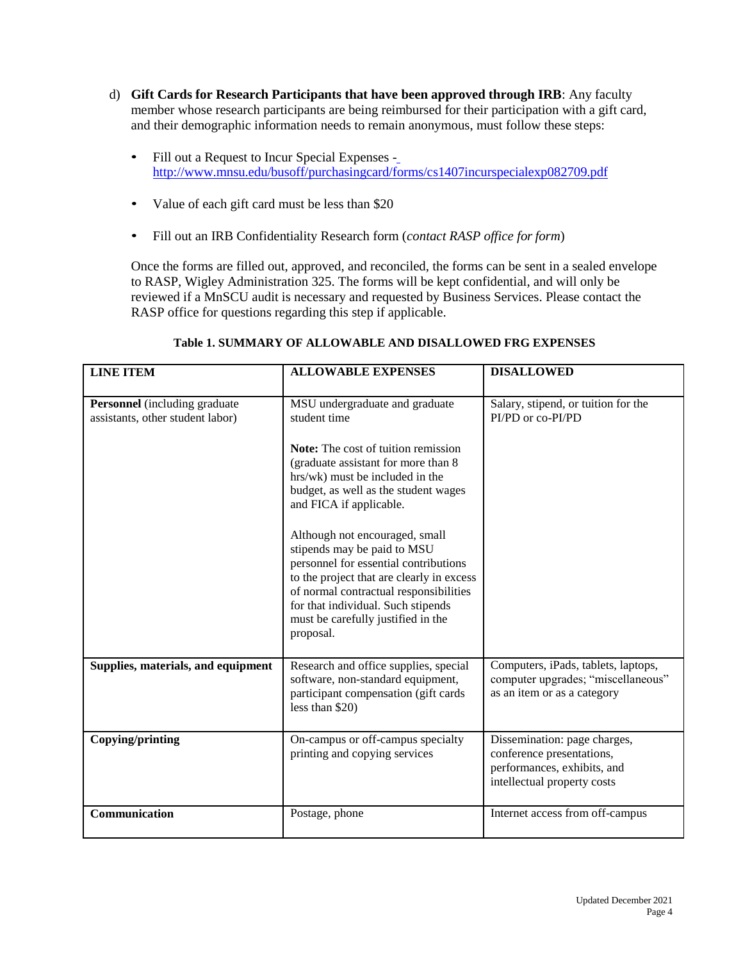- d) **Gift Cards for Research Participants that have been approved through IRB**: Any faculty member whose research participants are being reimbursed for their participation with a gift card, and their demographic information needs to remain anonymous, must follow these steps:
	- Fill out a Request to Incur Special Expenses <http://www.mnsu.edu/busoff/purchasingcard/forms/cs1407incurspecialexp082709.pdf>
	- Value of each gift card must be less than \$20
	- Fill out an IRB Confidentiality Research form (*contact RASP office for form*)

Once the forms are filled out, approved, and reconciled, the forms can be sent in a sealed envelope to RASP, Wigley Administration 325. The forms will be kept confidential, and will only be reviewed if a MnSCU audit is necessary and requested by Business Services. Please contact the RASP office for questions regarding this step if applicable.

| <b>LINE ITEM</b>                                                         | <b>ALLOWABLE EXPENSES</b>                                                                                                                                                                                                                                                                                                                                                                                                                                                                                                           | <b>DISALLOWED</b>                                                                                                       |
|--------------------------------------------------------------------------|-------------------------------------------------------------------------------------------------------------------------------------------------------------------------------------------------------------------------------------------------------------------------------------------------------------------------------------------------------------------------------------------------------------------------------------------------------------------------------------------------------------------------------------|-------------------------------------------------------------------------------------------------------------------------|
| <b>Personnel</b> (including graduate<br>assistants, other student labor) | MSU undergraduate and graduate<br>student time<br><b>Note:</b> The cost of tuition remission<br>(graduate assistant for more than 8<br>hrs/wk) must be included in the<br>budget, as well as the student wages<br>and FICA if applicable.<br>Although not encouraged, small<br>stipends may be paid to MSU<br>personnel for essential contributions<br>to the project that are clearly in excess<br>of normal contractual responsibilities<br>for that individual. Such stipends<br>must be carefully justified in the<br>proposal. | Salary, stipend, or tuition for the<br>PI/PD or co-PI/PD                                                                |
| Supplies, materials, and equipment                                       | Research and office supplies, special<br>software, non-standard equipment,<br>participant compensation (gift cards)<br>less than \$20)                                                                                                                                                                                                                                                                                                                                                                                              | Computers, iPads, tablets, laptops,<br>computer upgrades; "miscellaneous"<br>as an item or as a category                |
| Copying/printing                                                         | On-campus or off-campus specialty<br>printing and copying services                                                                                                                                                                                                                                                                                                                                                                                                                                                                  | Dissemination: page charges,<br>conference presentations,<br>performances, exhibits, and<br>intellectual property costs |
| Communication                                                            | Postage, phone                                                                                                                                                                                                                                                                                                                                                                                                                                                                                                                      | Internet access from off-campus                                                                                         |

## **Table 1. SUMMARY OF ALLOWABLE AND DISALLOWED FRG EXPENSES**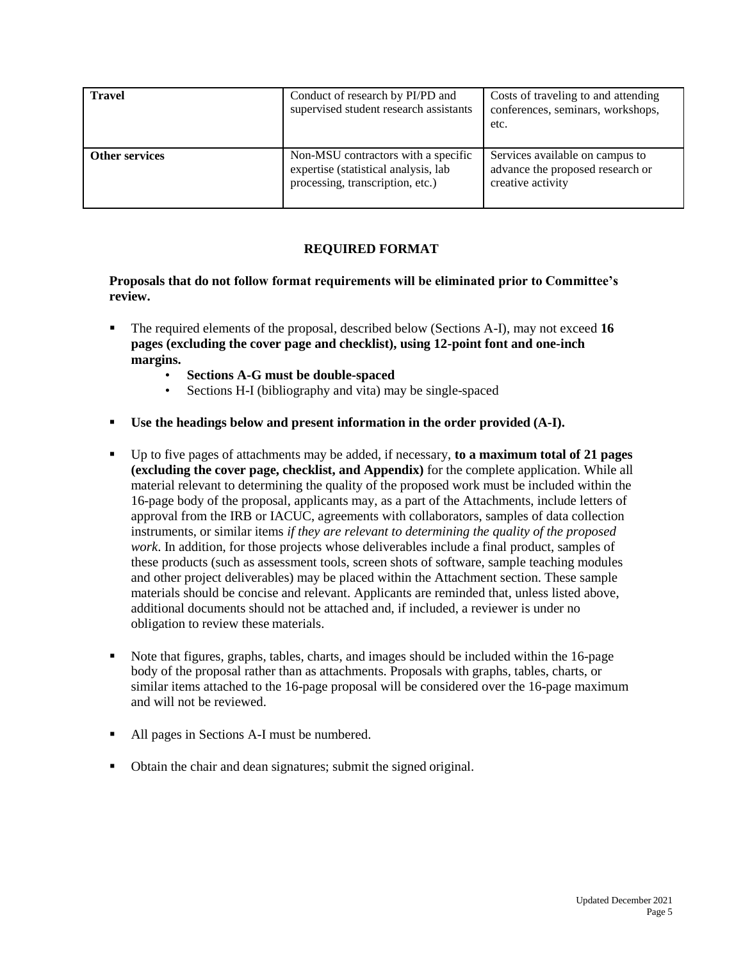| <b>Travel</b>         | Conduct of research by PI/PD and<br>supervised student research assistants                                      | Costs of traveling to and attending<br>conferences, seminars, workshops,<br>etc.         |
|-----------------------|-----------------------------------------------------------------------------------------------------------------|------------------------------------------------------------------------------------------|
| <b>Other services</b> | Non-MSU contractors with a specific<br>expertise (statistical analysis, lab<br>processing, transcription, etc.) | Services available on campus to<br>advance the proposed research or<br>creative activity |

# **REQUIRED FORMAT**

**Proposals that do not follow format requirements will be eliminated prior to Committee's review.**

- The required elements of the proposal, described below (Sections A-I), may not exceed **16 pages (excluding the cover page and checklist), using 12-point font and one-inch margins.**
	- **Sections A-G must be double-spaced**
	- Sections H-I (bibliography and vita) may be single-spaced
- **Use the headings below and present information in the order provided (A-I).**
- Up to five pages of attachments may be added, if necessary, **to a maximum total of 21 pages (excluding the cover page, checklist, and Appendix)** for the complete application. While all material relevant to determining the quality of the proposed work must be included within the 16-page body of the proposal, applicants may, as a part of the Attachments, include letters of approval from the IRB or IACUC, agreements with collaborators, samples of data collection instruments, or similar items *if they are relevant to determining the quality of the proposed work*. In addition, for those projects whose deliverables include a final product, samples of these products (such as assessment tools, screen shots of software, sample teaching modules and other project deliverables) may be placed within the Attachment section. These sample materials should be concise and relevant. Applicants are reminded that, unless listed above, additional documents should not be attached and, if included, a reviewer is under no obligation to review these materials.
- Note that figures, graphs, tables, charts, and images should be included within the 16-page body of the proposal rather than as attachments. Proposals with graphs, tables, charts, or similar items attached to the 16-page proposal will be considered over the 16-page maximum and will not be reviewed.
- All pages in Sections A-I must be numbered.
- Obtain the chair and dean signatures; submit the signed original.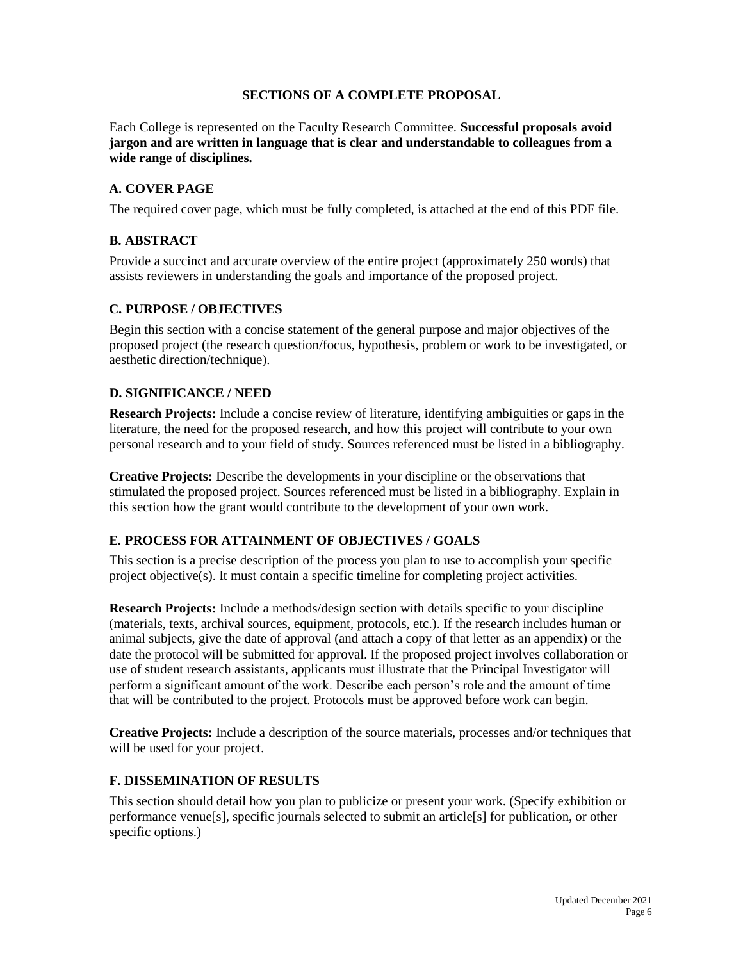## **SECTIONS OF A COMPLETE PROPOSAL**

Each College is represented on the Faculty Research Committee. **Successful proposals avoid jargon and are written in language that is clear and understandable to colleagues from a wide range of disciplines.**

### **A. COVER PAGE**

The required cover page, which must be fully completed, is attached at the end of this PDF file.

## **B. ABSTRACT**

Provide a succinct and accurate overview of the entire project (approximately 250 words) that assists reviewers in understanding the goals and importance of the proposed project.

## **C. PURPOSE / OBJECTIVES**

Begin this section with a concise statement of the general purpose and major objectives of the proposed project (the research question/focus, hypothesis, problem or work to be investigated, or aesthetic direction/technique).

## **D. SIGNIFICANCE / NEED**

**Research Projects:** Include a concise review of literature, identifying ambiguities or gaps in the literature, the need for the proposed research, and how this project will contribute to your own personal research and to your field of study. Sources referenced must be listed in a bibliography.

**Creative Projects:** Describe the developments in your discipline or the observations that stimulated the proposed project. Sources referenced must be listed in a bibliography. Explain in this section how the grant would contribute to the development of your own work.

#### **E. PROCESS FOR ATTAINMENT OF OBJECTIVES / GOALS**

This section is a precise description of the process you plan to use to accomplish your specific project objective(s). It must contain a specific timeline for completing project activities.

**Research Projects:** Include a methods/design section with details specific to your discipline (materials, texts, archival sources, equipment, protocols, etc.). If the research includes human or animal subjects, give the date of approval (and attach a copy of that letter as an appendix) or the date the protocol will be submitted for approval. If the proposed project involves collaboration or use of student research assistants, applicants must illustrate that the Principal Investigator will perform a significant amount of the work. Describe each person's role and the amount of time that will be contributed to the project. Protocols must be approved before work can begin.

**Creative Projects:** Include a description of the source materials, processes and/or techniques that will be used for your project.

# **F. DISSEMINATION OF RESULTS**

This section should detail how you plan to publicize or present your work. (Specify exhibition or performance venue[s], specific journals selected to submit an article[s] for publication, or other specific options.)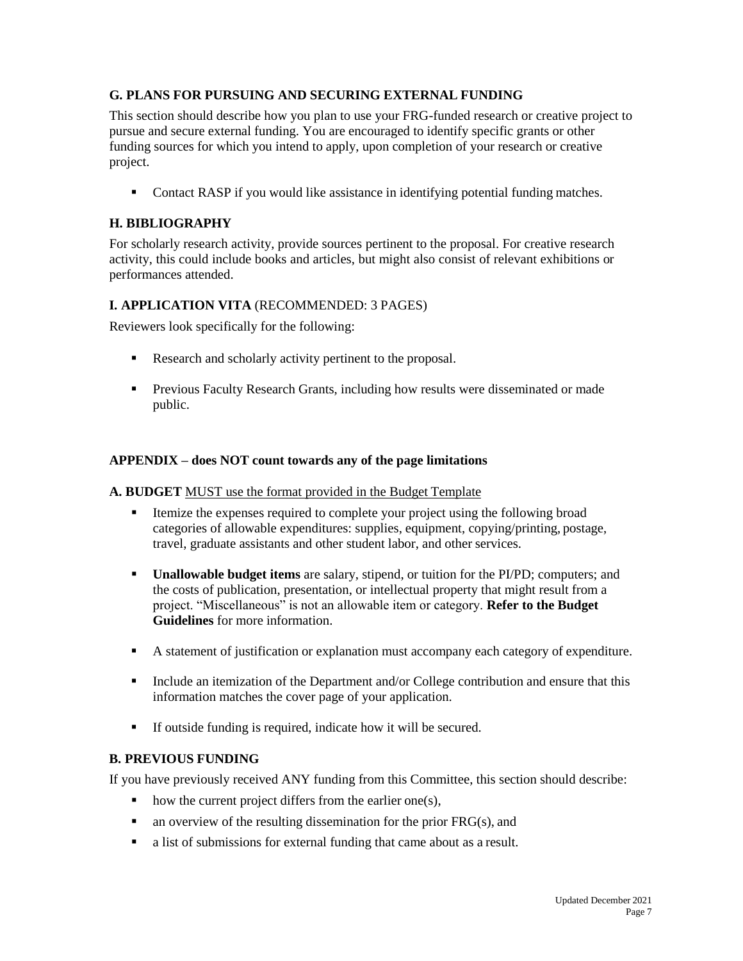# **G. PLANS FOR PURSUING AND SECURING EXTERNAL FUNDING**

This section should describe how you plan to use your FRG-funded research or creative project to pursue and secure external funding. You are encouraged to identify specific grants or other funding sources for which you intend to apply, upon completion of your research or creative project.

• Contact RASP if you would like assistance in identifying potential funding matches.

# **H. BIBLIOGRAPHY**

For scholarly research activity, provide sources pertinent to the proposal. For creative research activity, this could include books and articles, but might also consist of relevant exhibitions or performances attended.

## **I. APPLICATION VITA** (RECOMMENDED: 3 PAGES)

Reviewers look specifically for the following:

- Research and scholarly activity pertinent to the proposal.
- **Previous Faculty Research Grants, including how results were disseminated or made** public.

## **APPENDIX – does NOT count towards any of the page limitations**

#### **A. BUDGET** MUST use the format provided in the Budget Template

- Itemize the expenses required to complete your project using the following broad categories of allowable expenditures: supplies, equipment, copying/printing, postage, travel, graduate assistants and other student labor, and other services.
- **Unallowable budget items** are salary, stipend, or tuition for the PI/PD; computers; and the costs of publication, presentation, or intellectual property that might result from a project. "Miscellaneous" is not an allowable item or category. **Refer to the Budget Guidelines** for more information.
- A statement of justification or explanation must accompany each category of expenditure.
- Include an itemization of the Department and/or College contribution and ensure that this information matches the cover page of your application.
- If outside funding is required, indicate how it will be secured.

#### **B. PREVIOUS FUNDING**

If you have previously received ANY funding from this Committee, this section should describe:

- $\blacksquare$  how the current project differs from the earlier one(s),
- $\blacksquare$  an overview of the resulting dissemination for the prior FRG(s), and
- a list of submissions for external funding that came about as a result.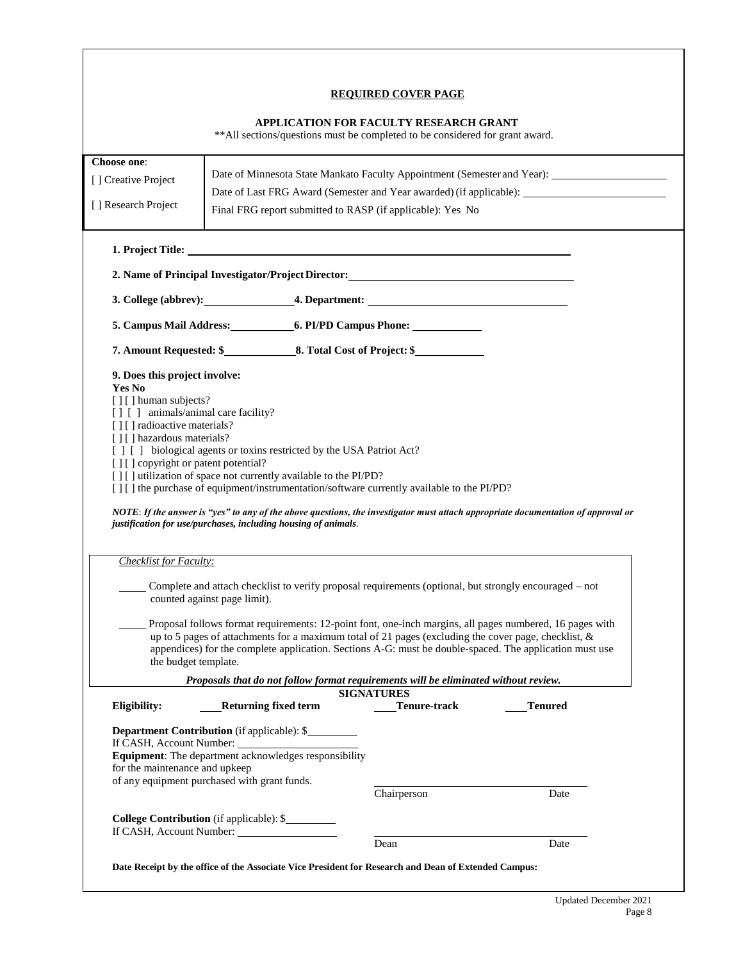#### **REQUIRED COVER PAGE**

#### **APPLICATION FOR FACULTY RESEARCH GRANT**

\*\*All sections/questions must be completed to be considered for grant award.

| Choose one:<br>[] Creative Project                                                                                                                                                                                                                                                                 |                                     |                                                                                                                                                                                                                                                                                                                                |         |      |  |
|----------------------------------------------------------------------------------------------------------------------------------------------------------------------------------------------------------------------------------------------------------------------------------------------------|-------------------------------------|--------------------------------------------------------------------------------------------------------------------------------------------------------------------------------------------------------------------------------------------------------------------------------------------------------------------------------|---------|------|--|
|                                                                                                                                                                                                                                                                                                    |                                     | Date of Last FRG Award (Semester and Year awarded) (if applicable):                                                                                                                                                                                                                                                            |         |      |  |
| [] Research Project                                                                                                                                                                                                                                                                                |                                     | Final FRG report submitted to RASP (if applicable): Yes No                                                                                                                                                                                                                                                                     |         |      |  |
|                                                                                                                                                                                                                                                                                                    |                                     |                                                                                                                                                                                                                                                                                                                                |         |      |  |
| 2. Name of Principal Investigator/Project Director:                                                                                                                                                                                                                                                |                                     |                                                                                                                                                                                                                                                                                                                                |         |      |  |
|                                                                                                                                                                                                                                                                                                    |                                     |                                                                                                                                                                                                                                                                                                                                |         |      |  |
| 5. Campus Mail Address: 6. PI/PD Campus Phone:                                                                                                                                                                                                                                                     |                                     |                                                                                                                                                                                                                                                                                                                                |         |      |  |
|                                                                                                                                                                                                                                                                                                    |                                     |                                                                                                                                                                                                                                                                                                                                |         |      |  |
| 9. Does this project involve:                                                                                                                                                                                                                                                                      |                                     |                                                                                                                                                                                                                                                                                                                                |         |      |  |
| Yes No<br>[][] human subjects?                                                                                                                                                                                                                                                                     |                                     |                                                                                                                                                                                                                                                                                                                                |         |      |  |
| [] [] animals/animal care facility?                                                                                                                                                                                                                                                                |                                     |                                                                                                                                                                                                                                                                                                                                |         |      |  |
| [][] radioactive materials?<br>[][] hazardous materials?                                                                                                                                                                                                                                           |                                     |                                                                                                                                                                                                                                                                                                                                |         |      |  |
| [ ] [ ] biological agents or toxins restricted by the USA Patriot Act?                                                                                                                                                                                                                             |                                     |                                                                                                                                                                                                                                                                                                                                |         |      |  |
|                                                                                                                                                                                                                                                                                                    | [][] copyright or patent potential? |                                                                                                                                                                                                                                                                                                                                |         |      |  |
|                                                                                                                                                                                                                                                                                                    |                                     |                                                                                                                                                                                                                                                                                                                                |         |      |  |
| [][] utilization of space not currently available to the PI/PD?<br>[] [] the purchase of equipment/instrumentation/software currently available to the PI/PD?<br>NOTE: If the answer is "yes" to any of the above questions, the investigator must attach appropriate documentation of approval or |                                     |                                                                                                                                                                                                                                                                                                                                |         |      |  |
| justification for use/purchases, including housing of animals.                                                                                                                                                                                                                                     |                                     |                                                                                                                                                                                                                                                                                                                                |         |      |  |
| <b>Checklist for Faculty:</b>                                                                                                                                                                                                                                                                      |                                     |                                                                                                                                                                                                                                                                                                                                |         |      |  |
|                                                                                                                                                                                                                                                                                                    | counted against page limit).        | Complete and attach checklist to verify proposal requirements (optional, but strongly encouraged – not                                                                                                                                                                                                                         |         |      |  |
| the budget template.                                                                                                                                                                                                                                                                               |                                     | Proposal follows format requirements: 12-point font, one-inch margins, all pages numbered, 16 pages with<br>up to 5 pages of attachments for a maximum total of 21 pages (excluding the cover page, checklist, $\&$<br>appendices) for the complete application. Sections A-G: must be double-spaced. The application must use |         |      |  |
|                                                                                                                                                                                                                                                                                                    |                                     | Proposals that do not follow format requirements will be eliminated without review.                                                                                                                                                                                                                                            |         |      |  |
|                                                                                                                                                                                                                                                                                                    |                                     | <b>SIGNATURES</b>                                                                                                                                                                                                                                                                                                              |         |      |  |
| Eligibility:                                                                                                                                                                                                                                                                                       | <b>Returning fixed term</b>         | Tenure-track                                                                                                                                                                                                                                                                                                                   | Tenured |      |  |
| <b>Department Contribution</b> (if applicable): \$<br>If CASH, Account Number:                                                                                                                                                                                                                     |                                     |                                                                                                                                                                                                                                                                                                                                |         |      |  |
| Equipment: The department acknowledges responsibility<br>for the maintenance and upkeep                                                                                                                                                                                                            |                                     |                                                                                                                                                                                                                                                                                                                                |         |      |  |
| of any equipment purchased with grant funds.                                                                                                                                                                                                                                                       |                                     |                                                                                                                                                                                                                                                                                                                                |         |      |  |
|                                                                                                                                                                                                                                                                                                    |                                     | Chairperson                                                                                                                                                                                                                                                                                                                    |         | Date |  |
| College Contribution (if applicable): \$                                                                                                                                                                                                                                                           |                                     |                                                                                                                                                                                                                                                                                                                                |         |      |  |
| If CASH, Account Number:                                                                                                                                                                                                                                                                           |                                     | Dean                                                                                                                                                                                                                                                                                                                           |         | Date |  |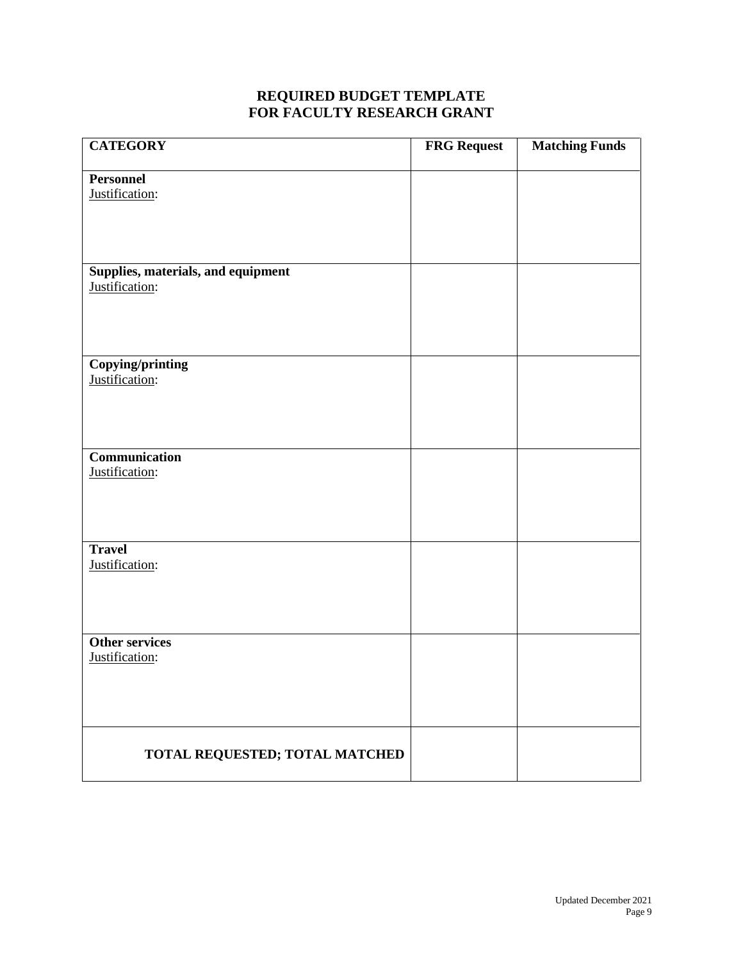# **REQUIRED BUDGET TEMPLATE FOR FACULTY RESEARCH GRANT**

| <b>CATEGORY</b>                                      | <b>FRG Request</b> | <b>Matching Funds</b> |
|------------------------------------------------------|--------------------|-----------------------|
| <b>Personnel</b>                                     |                    |                       |
| Justification:                                       |                    |                       |
|                                                      |                    |                       |
|                                                      |                    |                       |
|                                                      |                    |                       |
| Supplies, materials, and equipment<br>Justification: |                    |                       |
|                                                      |                    |                       |
|                                                      |                    |                       |
|                                                      |                    |                       |
| <b>Copying/printing</b>                              |                    |                       |
| Justification:                                       |                    |                       |
|                                                      |                    |                       |
|                                                      |                    |                       |
| Communication                                        |                    |                       |
| Justification:                                       |                    |                       |
|                                                      |                    |                       |
|                                                      |                    |                       |
|                                                      |                    |                       |
| <b>Travel</b>                                        |                    |                       |
| Justification:                                       |                    |                       |
|                                                      |                    |                       |
|                                                      |                    |                       |
| <b>Other services</b>                                |                    |                       |
| Justification:                                       |                    |                       |
|                                                      |                    |                       |
|                                                      |                    |                       |
|                                                      |                    |                       |
|                                                      |                    |                       |
| TOTAL REQUESTED; TOTAL MATCHED                       |                    |                       |
|                                                      |                    |                       |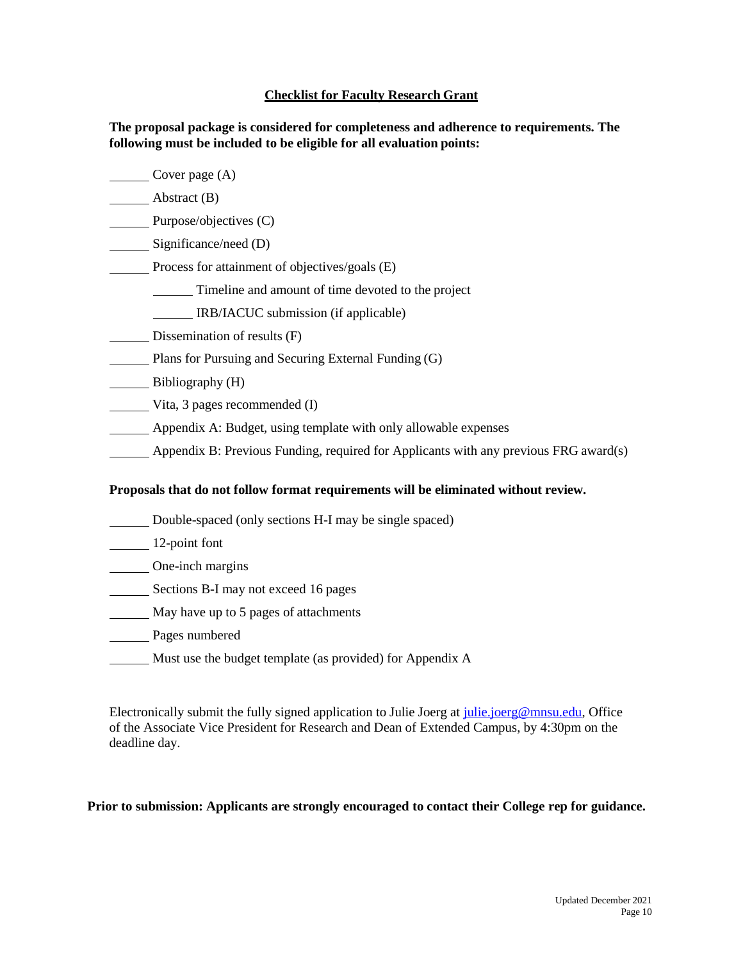#### **Checklist for Faculty Research Grant**

**The proposal package is considered for completeness and adherence to requirements. The following must be included to be eligible for all evaluation points:**

- Cover page (A)
- **Example 3** Abstract (B)
- Purpose/objectives (C)
- Significance/need (D)
- Process for attainment of objectives/goals (E)
	- Timeline and amount of time devoted to the project
	- **IRB/IACUC** submission (if applicable)
- Dissemination of results (F)
- Plans for Pursuing and Securing External Funding (G)
- Bibliography (H)
- Vita, 3 pages recommended (I)
- Appendix A: Budget, using template with only allowable expenses
- Appendix B: Previous Funding, required for Applicants with any previous FRG award(s)

#### **Proposals that do not follow format requirements will be eliminated without review.**

- Double-spaced (only sections H-I may be single spaced)
- 12-point font
- **Cone-inch margins**
- Sections B-I may not exceed 16 pages
- **May have up to 5 pages of attachments**
- Pages numbered
- Must use the budget template (as provided) for Appendix A

Electronically submit the fully signed application to Julie Joerg at [julie.joerg@mnsu.edu, O](mailto:julie.joerg@mnsu.edu)ffice of the Associate Vice President for Research and Dean of Extended Campus, by 4:30pm on the deadline day.

#### **Prior to submission: Applicants are strongly encouraged to contact their College rep for guidance.**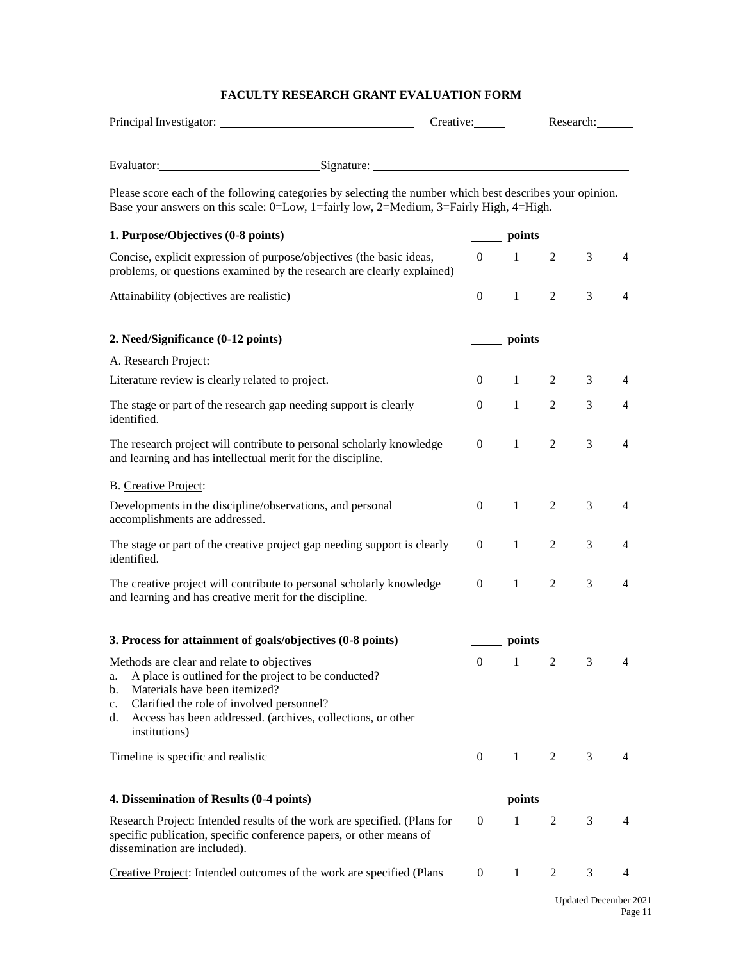# **FACULTY RESEARCH GRANT EVALUATION FORM**

|                                                                                                                                                                                                                                                                                          |  | Creative:        |                     | Research:      |   |                |
|------------------------------------------------------------------------------------------------------------------------------------------------------------------------------------------------------------------------------------------------------------------------------------------|--|------------------|---------------------|----------------|---|----------------|
|                                                                                                                                                                                                                                                                                          |  |                  |                     |                |   |                |
| Evaluator: Signature: Signature:                                                                                                                                                                                                                                                         |  |                  |                     |                |   |                |
| Please score each of the following categories by selecting the number which best describes your opinion.<br>Base your answers on this scale: 0=Low, 1=fairly low, 2=Medium, 3=Fairly High, 4=High.                                                                                       |  |                  |                     |                |   |                |
| 1. Purpose/Objectives (0-8 points)                                                                                                                                                                                                                                                       |  |                  | <u>inter</u> points |                |   |                |
| Concise, explicit expression of purpose/objectives (the basic ideas,<br>problems, or questions examined by the research are clearly explained)                                                                                                                                           |  | $\theta$         | -1                  | 2              | 3 | 4              |
| Attainability (objectives are realistic)                                                                                                                                                                                                                                                 |  | $\overline{0}$   | 1                   | $\overline{2}$ | 3 | $\overline{4}$ |
| 2. Need/Significance (0-12 points)                                                                                                                                                                                                                                                       |  | points           |                     |                |   |                |
| A. Research Project:                                                                                                                                                                                                                                                                     |  |                  |                     |                |   |                |
| Literature review is clearly related to project.                                                                                                                                                                                                                                         |  | $\overline{0}$   | 1                   | $\overline{2}$ | 3 | 4              |
| The stage or part of the research gap needing support is clearly<br>identified.                                                                                                                                                                                                          |  | $\mathbf{0}$     | $\mathbf{1}$        | $\overline{2}$ | 3 | $\overline{4}$ |
| The research project will contribute to personal scholarly knowledge<br>and learning and has intellectual merit for the discipline.                                                                                                                                                      |  | $\mathbf{0}$     | $\mathbf{1}$        | $\overline{2}$ | 3 | $\overline{4}$ |
| B. Creative Project:                                                                                                                                                                                                                                                                     |  |                  |                     |                |   |                |
| Developments in the discipline/observations, and personal<br>accomplishments are addressed.                                                                                                                                                                                              |  | $\mathbf{0}$     | 1                   | 2              | 3 | 4              |
| The stage or part of the creative project gap needing support is clearly<br>identified.                                                                                                                                                                                                  |  | $\mathbf{0}$     | $\mathbf{1}$        | $\overline{2}$ | 3 | 4              |
| The creative project will contribute to personal scholarly knowledge<br>and learning and has creative merit for the discipline.                                                                                                                                                          |  | $\mathbf{0}$     | 1                   | 2              | 3 | $\overline{4}$ |
| 3. Process for attainment of goals/objectives (0-8 points)                                                                                                                                                                                                                               |  |                  | points              |                |   |                |
| Methods are clear and relate to objectives<br>A place is outlined for the project to be conducted?<br>a.<br>Materials have been itemized?<br>b.<br>Clarified the role of involved personnel?<br>c.<br>Access has been addressed. (archives, collections, or other<br>d.<br>institutions) |  | $\boldsymbol{0}$ | 1                   | 2              | 3 | 4              |
| Timeline is specific and realistic                                                                                                                                                                                                                                                       |  | $\theta$         | 1                   | 2              | 3 | 4              |
| 4. Dissemination of Results (0-4 points)                                                                                                                                                                                                                                                 |  |                  | points              |                |   |                |
| Research Project: Intended results of the work are specified. (Plans for<br>specific publication, specific conference papers, or other means of<br>dissemination are included).                                                                                                          |  | $\mathbf{0}$     | 1                   | $\overline{2}$ | 3 | 4              |
| Creative Project: Intended outcomes of the work are specified (Plans                                                                                                                                                                                                                     |  | $\overline{0}$   | $\mathbf{1}$        | 2              | 3 | 4              |